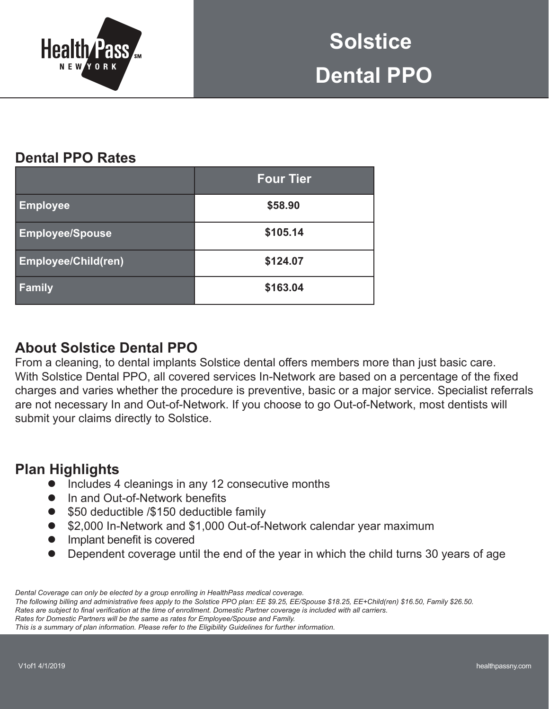

# **Dental PPO Rates**

|                            | <b>Four Tier</b> |  |  |
|----------------------------|------------------|--|--|
| <b>Employee</b>            | \$58.90          |  |  |
| <b>Employee/Spouse</b>     | \$105.14         |  |  |
| <b>Employee/Child(ren)</b> | \$124.07         |  |  |
| Family                     | \$163.04         |  |  |

## **About Solstice Dental PPO**

From a cleaning, to dental implants Solstice dental offers members more than just basic care. With Solstice Dental PPO, all covered services In-Network are based on a percentage of the fixed charges and varies whether the procedure is preventive, basic or a major service. Specialist referrals are not necessary In and Out-of-Network. If you choose to go Out-of-Network, most dentists will submit your claims directly to Solstice.

## **Plan Highlights**

- Includes 4 cleanings in any 12 consecutive months
- In and Out-of-Network benefits
- \$50 deductible /\$150 deductible family
- \$2,000 In-Network and \$1,000 Out-of-Network calendar year maximum
- $\bullet$  Implant benefit is covered
- Dependent coverage until the end of the year in which the child turns 30 years of age

Rates are subject to final verification at the time of enrollment. Domestic Partner coverage is included with all carriers.

*Dental Coverage can only be elected by a group enrolling in HealthPass medical coverage.*

*The following billing and administrative fees apply to the Solstice PPO plan: EE \$9.25, EE/Spouse \$18.25, EE+Child(ren) \$16.50, Family \$26.50.*

*Rates for Domestic Partners will be the same as rates for Employee/Spouse and Family.* 

*This is a summary of plan information. Please refer to the Eligibility Guidelines for further information.*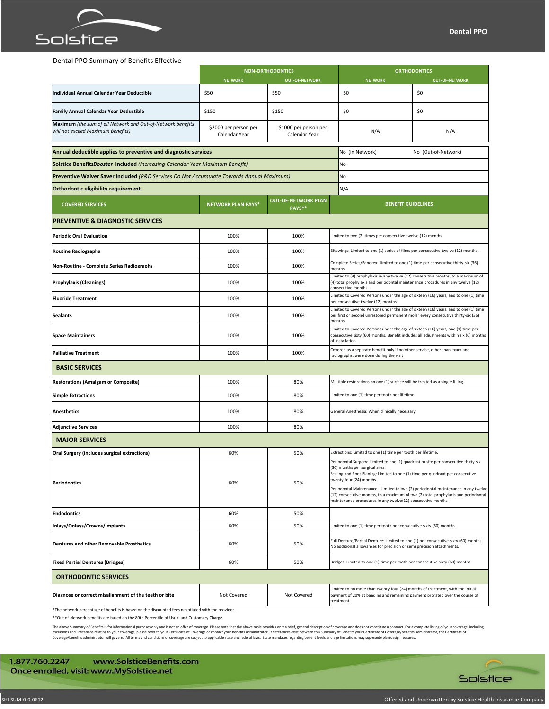

### Dental PPO Summary of Benefits Effective

|                                                                                                   | <b>NON-ORTHODONTICS</b>                |                                        | <b>ORTHODONTICS</b>                                                                                                                                                                                                                                                                                                                                                                                                                                                            |                       |  |
|---------------------------------------------------------------------------------------------------|----------------------------------------|----------------------------------------|--------------------------------------------------------------------------------------------------------------------------------------------------------------------------------------------------------------------------------------------------------------------------------------------------------------------------------------------------------------------------------------------------------------------------------------------------------------------------------|-----------------------|--|
|                                                                                                   | <b>NETWORK</b>                         | <b>OUT-OF-NETWORK</b>                  | <b>NETWORK</b>                                                                                                                                                                                                                                                                                                                                                                                                                                                                 | <b>OUT-OF-NETWORK</b> |  |
| <b>Individual Annual Calendar Year Deductible</b>                                                 | \$50                                   | \$50                                   | \$0                                                                                                                                                                                                                                                                                                                                                                                                                                                                            | \$0                   |  |
| Family Annual Calendar Year Deductible                                                            | \$150                                  | \$150                                  | \$0                                                                                                                                                                                                                                                                                                                                                                                                                                                                            | \$0                   |  |
| Maximum (the sum of all Network and Out-of-Network benefits<br>will not exceed Maximum Benefits)  | \$2000 per person per<br>Calendar Year | \$1000 per person per<br>Calendar Year | N/A                                                                                                                                                                                                                                                                                                                                                                                                                                                                            | N/A                   |  |
| Annual deductible applies to preventive and diagnostic services                                   |                                        |                                        | No (In Network)                                                                                                                                                                                                                                                                                                                                                                                                                                                                | No (Out-of-Network)   |  |
| <b>Solstice BenefitsBooster Included (Increasing Calendar Year Maximum Benefit)</b>               |                                        |                                        | No                                                                                                                                                                                                                                                                                                                                                                                                                                                                             |                       |  |
| Preventive Waiver Saver Included (P&D Services Do Not Accumulate Towards Annual Maximum)          |                                        |                                        | No                                                                                                                                                                                                                                                                                                                                                                                                                                                                             |                       |  |
| <b>Orthodontic eligibility requirement</b>                                                        |                                        |                                        | N/A                                                                                                                                                                                                                                                                                                                                                                                                                                                                            |                       |  |
| <b>COVERED SERVICES</b>                                                                           | <b>NETWORK PLAN PAYS*</b>              | <b>OUT-OF-NETWORK PLAN</b><br>PAYS**   | <b>BENEFIT GUIDELINES</b>                                                                                                                                                                                                                                                                                                                                                                                                                                                      |                       |  |
| <b>PREVENTIVE &amp; DIAGNOSTIC SERVICES</b>                                                       |                                        |                                        |                                                                                                                                                                                                                                                                                                                                                                                                                                                                                |                       |  |
| <b>Periodic Oral Evaluation</b>                                                                   | 100%                                   | 100%                                   | Limited to two (2) times per consecutive twelve (12) months.                                                                                                                                                                                                                                                                                                                                                                                                                   |                       |  |
| <b>Routine Radiographs</b>                                                                        | 100%                                   | 100%                                   | Bitewings: Limited to one (1) series of films per consecutive twelve (12) months.                                                                                                                                                                                                                                                                                                                                                                                              |                       |  |
| Non-Routine - Complete Series Radiographs                                                         | 100%                                   | 100%                                   | Complete Series/Panorex: Limited to one (1) time per consecutive thirty-six (36)<br>months.                                                                                                                                                                                                                                                                                                                                                                                    |                       |  |
| <b>Prophylaxis (Cleanings)</b>                                                                    | 100%                                   | 100%                                   | Limited to (4) prophylaxis in any twelve (12) consecutive months, to a maximum of<br>(4) total prophylaxis and periodontal maintenance procedures in any twelve (12)<br>consecutive months.                                                                                                                                                                                                                                                                                    |                       |  |
| <b>Fluoride Treatment</b>                                                                         | 100%                                   | 100%                                   | Limited to Covered Persons under the age of sixteen (16) years, and to one (1) time<br>per consecutive twelve (12) months.                                                                                                                                                                                                                                                                                                                                                     |                       |  |
| <b>Sealants</b>                                                                                   | 100%                                   | 100%                                   | Limited to Covered Persons under the age of sixteen (16) years, and to one (1) time<br>per first or second unrestored permanent molar every consecutive thirty-six (36)<br>months.                                                                                                                                                                                                                                                                                             |                       |  |
| <b>Space Maintainers</b>                                                                          | 100%                                   | 100%                                   | Limited to Covered Persons under the age of sixteen (16) years, one (1) time per<br>consecutive sixty (60) months. Benefit includes all adjustments within six (6) months<br>of installation.                                                                                                                                                                                                                                                                                  |                       |  |
| <b>Palliative Treatment</b>                                                                       | 100%                                   | 100%                                   | Covered as a separate benefit only if no other service, other than exam and<br>radiographs, were done during the visit                                                                                                                                                                                                                                                                                                                                                         |                       |  |
| <b>BASIC SERVICES</b>                                                                             |                                        |                                        |                                                                                                                                                                                                                                                                                                                                                                                                                                                                                |                       |  |
| <b>Restorations (Amalgam or Composite)</b>                                                        | 100%                                   | 80%                                    | Multiple restorations on one (1) surface will be treated as a single filling.                                                                                                                                                                                                                                                                                                                                                                                                  |                       |  |
| <b>Simple Extractions</b>                                                                         | 100%                                   | 80%                                    | Limited to one (1) time per tooth per lifetime.                                                                                                                                                                                                                                                                                                                                                                                                                                |                       |  |
| <b>Anesthetics</b>                                                                                | 100%                                   | 80%                                    | General Anesthesia: When clinically necessary.                                                                                                                                                                                                                                                                                                                                                                                                                                 |                       |  |
| <b>Adjunctive Services</b>                                                                        | 100%                                   | 80%                                    |                                                                                                                                                                                                                                                                                                                                                                                                                                                                                |                       |  |
| <b>MAJOR SERVICES</b>                                                                             |                                        |                                        |                                                                                                                                                                                                                                                                                                                                                                                                                                                                                |                       |  |
| Oral Surgery (includes surgical extractions)                                                      | 60%                                    | 50%                                    | Extractions: Limited to one (1) time per tooth per lifetime.                                                                                                                                                                                                                                                                                                                                                                                                                   |                       |  |
| <b>Periodontics</b>                                                                               | 60%                                    | 50%                                    | Periodontal Surgery: Limited to one (1) quadrant or site per consecutive thirty-six<br>(36) months per surgical area.<br>Scaling and Root Planing: Limited to one (1) time per quadrant per consecutive<br>twenty-four (24) months.<br>Periodontal Maintenance: Limited to two (2) periodontal maintenance in any twelve<br>(12) consecutive months, to a maximum of two (2) total prophylaxis and periodontal<br>maintenance procedures in any twelve(12) consecutive months. |                       |  |
| <b>Endodontics</b>                                                                                | 60%                                    | 50%                                    |                                                                                                                                                                                                                                                                                                                                                                                                                                                                                |                       |  |
| Inlays/Onlays/Crowns/Implants                                                                     | 60%                                    | 50%                                    | Limited to one (1) time per tooth per consecutive sixty (60) months.                                                                                                                                                                                                                                                                                                                                                                                                           |                       |  |
| <b>Dentures and other Removable Prosthetics</b>                                                   | 60%                                    | 50%                                    | Full Denture/Partial Denture: Limited to one (1) per consecutive sixty (60) months.<br>No additional allowances for precision or semi precision attachments.                                                                                                                                                                                                                                                                                                                   |                       |  |
| <b>Fixed Partial Dentures (Bridges)</b>                                                           | 60%                                    | 50%                                    | Bridges: Limited to one (1) time per tooth per consecutive sixty (60) months                                                                                                                                                                                                                                                                                                                                                                                                   |                       |  |
| <b>ORTHODONTIC SERVICES</b>                                                                       |                                        |                                        |                                                                                                                                                                                                                                                                                                                                                                                                                                                                                |                       |  |
| Diagnose or correct misalignment of the teeth or bite                                             | Not Covered                            | Not Covered                            | Limited to no more than twenty-four (24) months of treatment, with the initial<br>payment of 20% at banding and remaining payment prorated over the course of<br>treatment.                                                                                                                                                                                                                                                                                                    |                       |  |
| *The network percentage of benefits is based on the discounted fees negotiated with the provider. |                                        |                                        |                                                                                                                                                                                                                                                                                                                                                                                                                                                                                |                       |  |

\*\*Out of-Network benefits are based on the 80th Percentile of Usual and Customary Charge.

The above Summary of Benefits is for informational purposes only and is not an offer of coverage. Please note that the above table provides only a brief, general description of coverage and does not constitute a contract.

1.877.760.2247 www.SolsticeBenefits.com Once enrolled, visit: www.MySolstice.net